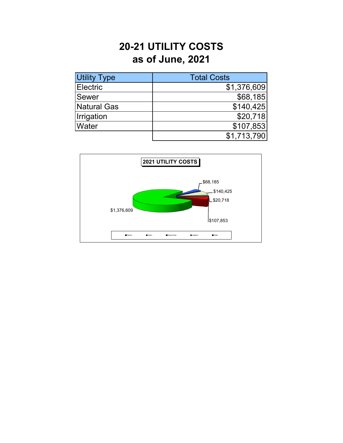## **20-21 UTILITY COSTS as of June, 2021**

| <b>Utility Type</b> | <b>Total Costs</b> |
|---------------------|--------------------|
| <b>Electric</b>     | \$1,376,609        |
| Sewer               | \$68,185           |
| Natural Gas         | \$140,425          |
| Irrigation          | \$20,718           |
| <b>Water</b>        | \$107,853          |
|                     | \$1,713,790        |